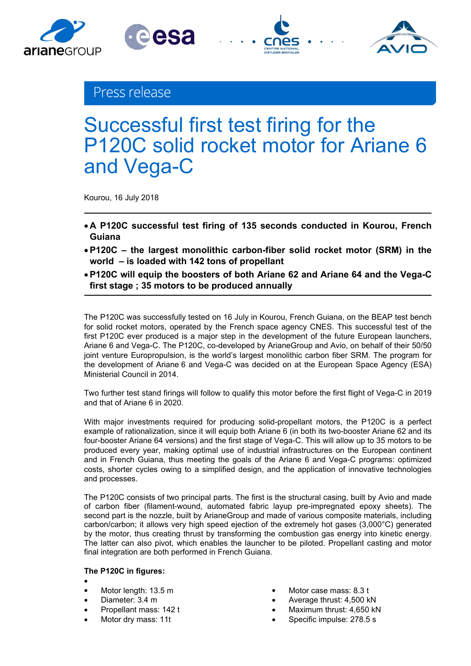



esa

# Successful first test firing for the P120C solid rocket motor for Ariane 6 and Vega-C

Kourou, 16 July 2018

- **A P120C successful test firing of 135 seconds conducted in Kourou, French Guiana**
- **P120C the largest monolithic carbon-fiber solid rocket motor (SRM) in the world – is loaded with 142 tons of propellant**
- **P120C will equip the boosters of both Ariane 62 and Ariane 64 and the Vega-C first stage ; 35 motors to be produced annually**

The P120C was successfully tested on 16 July in Kourou, French Guiana, on the BEAP test bench for solid rocket motors, operated by the French space agency CNES. This successful test of the first P120C ever produced is a major step in the development of the future European launchers, Ariane 6 and Vega-C. The P120C, co-developed by ArianeGroup and Avio, on behalf of their 50/50 joint venture Europropulsion, is the world's largest monolithic carbon fiber SRM. The program for the development of Ariane 6 and Vega-C was decided on at the European Space Agency (ESA) Ministerial Council in 2014.

Two further test stand firings will follow to qualify this motor before the first flight of Vega-C in 2019 and that of Ariane 6 in 2020.

With major investments required for producing solid-propellant motors, the P120C is a perfect example of rationalization, since it will equip both Ariane 6 (in both its two-booster Ariane 62 and its four-booster Ariane 64 versions) and the first stage of Vega-C. This will allow up to 35 motors to be produced every year, making optimal use of industrial infrastructures on the European continent and in French Guiana, thus meeting the goals of the Ariane 6 and Vega-C programs: optimized costs, shorter cycles owing to a simplified design, and the application of innovative technologies and processes.

The P120C consists of two principal parts. The first is the structural casing, built by Avio and made of carbon fiber (filament-wound, automated fabric layup pre-impregnated epoxy sheets). The second part is the nozzle, built by ArianeGroup and made of various composite materials, including carbon/carbon; it allows very high speed ejection of the extremely hot gases (3,000°C) generated by the motor, thus creating thrust by transforming the combustion gas energy into kinetic energy. The latter can also pivot, which enables the launcher to be piloted. Propellant casting and motor final integration are both performed in French Guiana.

### **The P120C in figures:**

- $\bullet$  and  $\bullet$  and  $\bullet$  and  $\bullet$
- 
- Diameter: 3.4 m
- Propellant mass: 142 t
- 
- Motor length: 13.5 m and the control of the Motor case mass: 8.3 t
- Motor length: 13.5 m<br>
Motor case mass: 8.3 t<br>
Diameter: 3.4 m<br>
Propellant mass: 142 t<br>
Motor dry mass: 11t<br>
Motor dry mass: 11t<br>
Motor dry mass: 11t<br>
Maximum thrust: 4,650 kN<br>
Specific impulse: 278.5 s
	-
	-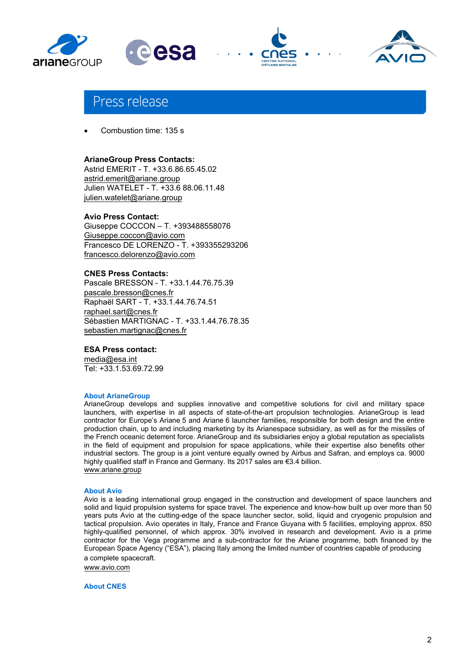



# Press release

Combustion time: 135 s

#### **ArianeGroup Press Contacts:**

Astrid EMERIT - T. +33.6.86.65.45.02 astrid.emerit@ariane.group Julien WATELET - T. +33.6 88.06.11.48 julien.watelet@ariane.group

#### **Avio Press Contact:**

Giuseppe COCCON – T. +393488558076 Giuseppe.coccon@avio.com Francesco DE LORENZO - T. +393355293206 francesco.delorenzo@avio.com

#### **CNES Press Contacts:**

Pascale BRESSON - T. +33.1.44.76.75.39 pascale.bresson@cnes.fr Raphaël SART - T. +33.1.44.76.74.51 raphael.sart@cnes.fr Sébastien MARTIGNAC - T. +33.1.44.76.78.35 sebastien.martignac@cnes.fr

#### **ESA Press contact:**

media@esa.int Tel: +33.1.53.69.72.99

#### **About ArianeGroup**

ArianeGroup develops and supplies innovative and competitive solutions for civil and military space launchers, with expertise in all aspects of state-of-the-art propulsion technologies. ArianeGroup is lead contractor for Europe's Ariane 5 and Ariane 6 launcher families, responsible for both design and the entire production chain, up to and including marketing by its Arianespace subsidiary, as well as for the missiles of the French oceanic deterrent force. ArianeGroup and its subsidiaries enjoy a global reputation as specialists in the field of equipment and propulsion for space applications, while their expertise also benefits other industrial sectors. The group is a joint venture equally owned by Airbus and Safran, and employs ca. 9000 highly qualified staff in France and Germany. Its 2017 sales are €3.4 billion. www.ariane.group

#### **About Avio**

Avio is a leading international group engaged in the construction and development of space launchers and solid and liquid propulsion systems for space travel. The experience and know-how built up over more than 50 years puts Avio at the cutting-edge of the space launcher sector, solid, liquid and cryogenic propulsion and tactical propulsion. Avio operates in Italy, France and France Guyana with 5 facilities, employing approx. 850 highly-qualified personnel, of which approx. 30% involved in research and development. Avio is a prime contractor for the Vega programme and a sub-contractor for the Ariane programme, both financed by the European Space Agency ("ESA"), placing Italy among the limited number of countries capable of producing a complete spacecraft.

www.avio.com

**About CNES**